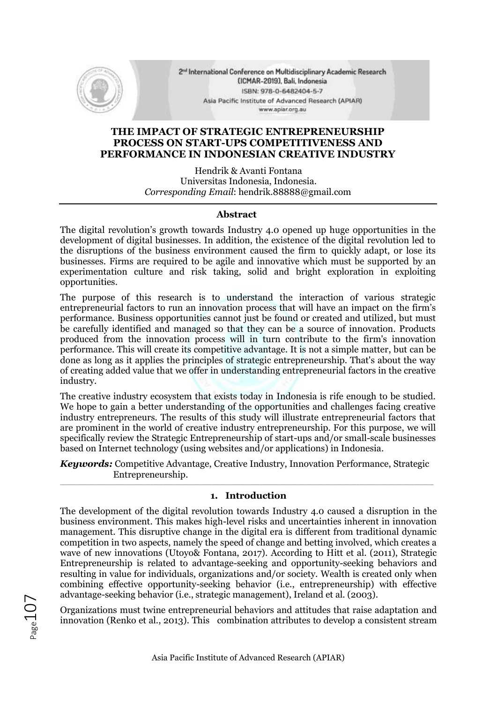

2<sup>nd</sup> International Conference on Multidisciplinary Academic Research (ICMAR-2019), Bali, Indonesia ISBN: 978-0-6482404-5-7 Asia Pacific Institute of Advanced Research (APIAR) www.apiar.org.au

# **THE IMPACT OF STRATEGIC ENTREPRENEURSHIP PROCESS ON START-UPS COMPETITIVENESS AND PERFORMANCE IN INDONESIAN CREATIVE INDUSTRY**

Hendrik & Avanti Fontana Universitas Indonesia, Indonesia. *Corresponding Email*: hendrik.88888@gmail.com

#### **Abstract**

The digital revolution's growth towards Industry 4.0 opened up huge opportunities in the development of digital businesses. In addition, the existence of the digital revolution led to the disruptions of the business environment caused the firm to quickly adapt, or lose its businesses. Firms are required to be agile and innovative which must be supported by an experimentation culture and risk taking, solid and bright exploration in exploiting opportunities.

The purpose of this research is to understand the interaction of various strategic entrepreneurial factors to run an innovation process that will have an impact on the firm's performance. Business opportunities cannot just be found or created and utilized, but must be carefully identified and managed so that they can be a source of innovation. Products produced from the innovation process will in turn contribute to the firm's innovation performance. This will create its competitive advantage. It is not a simple matter, but can be done as long as it applies the principles of strategic entrepreneurship. That's about the way of creating added value that we offer in understanding entrepreneurial factors in the creative industry.

The creative industry ecosystem that exists today in Indonesia is rife enough to be studied. We hope to gain a better understanding of the opportunities and challenges facing creative industry entrepreneurs. The results of this study will illustrate entrepreneurial factors that are prominent in the world of creative industry entrepreneurship. For this purpose, we will specifically review the Strategic Entrepreneurship of start-ups and/or small-scale businesses based on Internet technology (using websites and/or applications) in Indonesia.

*Keywords:* Competitive Advantage, Creative Industry, Innovation Performance, Strategic Entrepreneurship.

#### \_\_\_\_\_\_\_\_\_\_\_\_\_\_\_\_\_\_\_\_\_\_\_\_\_\_\_\_\_\_\_\_\_\_\_\_\_\_\_\_\_\_\_\_\_\_\_\_\_\_\_\_\_\_\_\_\_\_\_\_\_\_\_\_\_\_\_\_\_\_\_\_\_\_\_\_\_\_\_\_\_\_\_\_\_\_\_\_\_\_\_\_\_\_\_\_\_\_\_\_\_\_\_\_\_\_\_\_\_\_\_\_\_\_\_\_ **1. Introduction**

The development of the digital revolution towards Industry 4.0 caused a disruption in the business environment. This makes high-level risks and uncertainties inherent in innovation management. This disruptive change in the digital era is different from traditional dynamic competition in two aspects, namely the speed of change and betting involved, which creates a wave of new innovations (Utoyo& Fontana, 2017). According to Hitt et al. (2011), Strategic Entrepreneurship is related to advantage-seeking and opportunity-seeking behaviors and resulting in value for individuals, organizations and/or society. Wealth is created only when combining effective opportunity-seeking behavior (i.e., entrepreneurship) with effective advantage-seeking behavior (i.e., strategic management), Ireland et al. (2003).

Organizations must twine entrepreneurial behaviors and attitudes that raise adaptation and innovation (Renko et al., 2013). This combination attributes to develop a consistent stream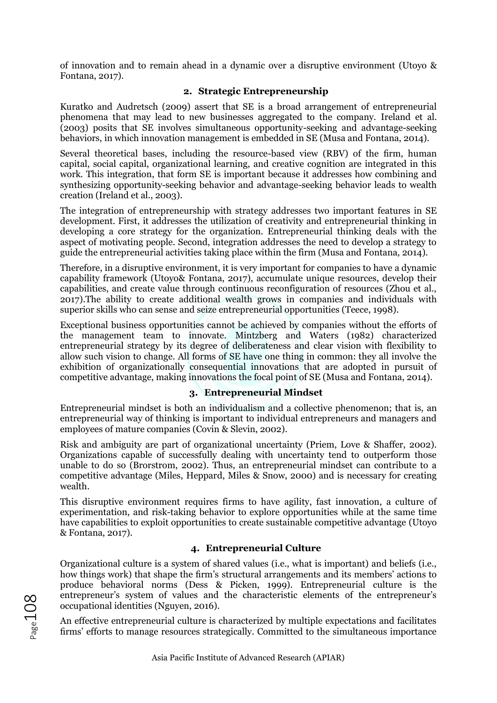of innovation and to remain ahead in a dynamic over a disruptive environment (Utoyo & Fontana, 2017).

## **2. Strategic Entrepreneurship**

Kuratko and Audretsch (2009) assert that SE is a broad arrangement of entrepreneurial phenomena that may lead to new businesses aggregated to the company. Ireland et al. (2003) posits that SE involves simultaneous opportunity-seeking and advantage-seeking behaviors, in which innovation management is embedded in SE (Musa and Fontana, 2014).

Several theoretical bases, including the resource-based view (RBV) of the firm, human capital, social capital, organizational learning, and creative cognition are integrated in this work. This integration, that form SE is important because it addresses how combining and synthesizing opportunity-seeking behavior and advantage-seeking behavior leads to wealth creation (Ireland et al., 2003).

The integration of entrepreneurship with strategy addresses two important features in SE development. First, it addresses the utilization of creativity and entrepreneurial thinking in developing a core strategy for the organization. Entrepreneurial thinking deals with the aspect of motivating people. Second, integration addresses the need to develop a strategy to guide the entrepreneurial activities taking place within the firm (Musa and Fontana, 2014).

Therefore, in a disruptive environment, it is very important for companies to have a dynamic capability framework (Utoyo& Fontana, 2017), accumulate unique resources, develop their capabilities, and create value through continuous reconfiguration of resources (Zhou et al., 2017).The ability to create additional wealth grows in companies and individuals with superior skills who can sense and seize entrepreneurial opportunities (Teece, 1998).

Exceptional business opportunities cannot be achieved by companies without the efforts of the management team to innovate. Mintzberg and Waters (1982) characterized entrepreneurial strategy by its degree of deliberateness and clear vision with flexibility to allow such vision to change. All forms of SE have one thing in common: they all involve the exhibition of organizationally consequential innovations that are adopted in pursuit of competitive advantage, making innovations the focal point of SE (Musa and Fontana, 2014).

## **3. Entrepreneurial Mindset**

Entrepreneurial mindset is both an individualism and a collective phenomenon; that is, an entrepreneurial way of thinking is important to individual entrepreneurs and managers and employees of mature companies (Covin & Slevin, 2002).

Risk and ambiguity are part of organizational uncertainty (Priem, Love & Shaffer, 2002). Organizations capable of successfully dealing with uncertainty tend to outperform those unable to do so (Brorstrom, 2002). Thus, an entrepreneurial mindset can contribute to a competitive advantage (Miles, Heppard, Miles & Snow, 2000) and is necessary for creating wealth.

This disruptive environment requires firms to have agility, fast innovation, a culture of experimentation, and risk-taking behavior to explore opportunities while at the same time have capabilities to exploit opportunities to create sustainable competitive advantage (Utoyo & Fontana, 2017).

## **4. Entrepreneurial Culture**

Organizational culture is a system of shared values (i.e., what is important) and beliefs (i.e., how things work) that shape the firm's structural arrangements and its members' actions to produce behavioral norms (Dess & Picken, 1999). Entrepreneurial culture is the entrepreneur's system of values and the characteristic elements of the entrepreneur's occupational identities (Nguyen, 2016).

An effective entrepreneurial culture is characterized by multiple expectations and facilitates firms' efforts to manage resources strategically. Committed to the simultaneous importance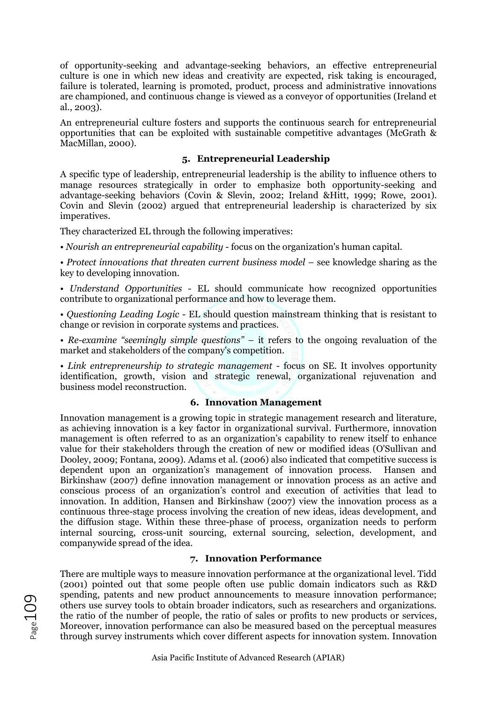of opportunity-seeking and advantage-seeking behaviors, an effective entrepreneurial culture is one in which new ideas and creativity are expected, risk taking is encouraged, failure is tolerated, learning is promoted, product, process and administrative innovations are championed, and continuous change is viewed as a conveyor of opportunities (Ireland et al., 2003).

An entrepreneurial culture fosters and supports the continuous search for entrepreneurial opportunities that can be exploited with sustainable competitive advantages (McGrath & MacMillan, 2000).

## **5. Entrepreneurial Leadership**

A specific type of leadership, entrepreneurial leadership is the ability to influence others to manage resources strategically in order to emphasize both opportunity-seeking and advantage-seeking behaviors (Covin & Slevin, 2002; Ireland &Hitt, 1999; Rowe, 2001). Covin and Slevin (2002) argued that entrepreneurial leadership is characterized by six imperatives.

They characterized EL through the following imperatives:

• *Nourish an entrepreneurial capability* - focus on the organization's human capital.

• *Protect innovations that threaten current business model* – see knowledge sharing as the key to developing innovation.

• *Understand Opportunities* - EL should communicate how recognized opportunities contribute to organizational performance and how to leverage them.

• *Questioning Leading Logic* - EL should question mainstream thinking that is resistant to change or revision in corporate systems and practices.

• *Re-examine "seemingly simple questions"* – it refers to the ongoing revaluation of the market and stakeholders of the company's competition.

• *Link entrepreneurship to strategic management* - focus on SE. It involves opportunity identification, growth, vision and strategic renewal, organizational rejuvenation and business model reconstruction.

## **6. Innovation Management**

Innovation management is a growing topic in strategic management research and literature, as achieving innovation is a key factor in organizational survival. Furthermore, innovation management is often referred to as an organization's capability to renew itself to enhance value for their stakeholders through the creation of new or modified ideas (O'Sullivan and Dooley, 2009; Fontana, 2009). Adams et al. (2006) also indicated that competitive success is dependent upon an organization's management of innovation process. Hansen and Birkinshaw (2007) define innovation management or innovation process as an active and conscious process of an organization's control and execution of activities that lead to innovation. In addition, Hansen and Birkinshaw (2007) view the innovation process as a continuous three-stage process involving the creation of new ideas, ideas development, and the diffusion stage. Within these three-phase of process, organization needs to perform internal sourcing, cross-unit sourcing, external sourcing, selection, development, and companywide spread of the idea.

## **7. Innovation Performance**

There are multiple ways to measure innovation performance at the organizational level. Tidd (2001) pointed out that some people often use public domain indicators such as R&D spending, patents and new product announcements to measure innovation performance; others use survey tools to obtain broader indicators, such as researchers and organizations. the ratio of the number of people, the ratio of sales or profits to new products or services, Moreover, innovation performance can also be measured based on the perceptual measures through survey instruments which cover different aspects for innovation system. Innovation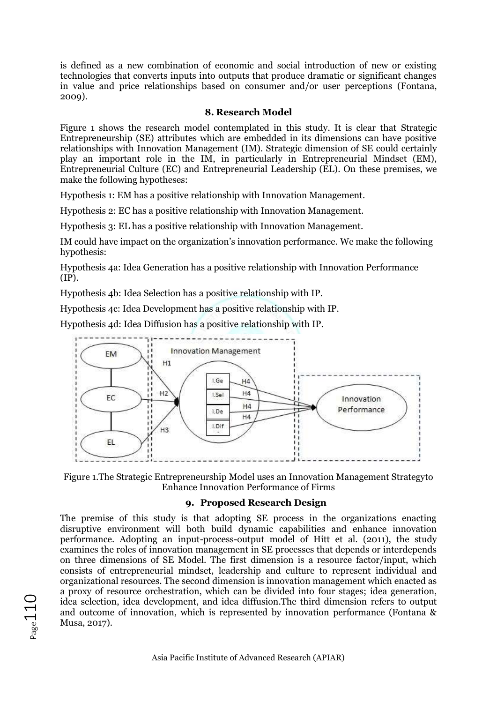is defined as a new combination of economic and social introduction of new or existing technologies that converts inputs into outputs that produce dramatic or significant changes in value and price relationships based on consumer and/or user perceptions (Fontana, 2009).

## **8. Research Model**

Figure 1 shows the research model contemplated in this study. It is clear that Strategic Entrepreneurship (SE) attributes which are embedded in its dimensions can have positive relationships with Innovation Management (IM). Strategic dimension of SE could certainly play an important role in the IM, in particularly in Entrepreneurial Mindset (EM), Entrepreneurial Culture (EC) and Entrepreneurial Leadership (EL). On these premises, we make the following hypotheses:

Hypothesis 1: EM has a positive relationship with Innovation Management.

Hypothesis 2: EC has a positive relationship with Innovation Management.

Hypothesis 3: EL has a positive relationship with Innovation Management.

IM could have impact on the organization's innovation performance. We make the following hypothesis:

Hypothesis 4a: Idea Generation has a positive relationship with Innovation Performance (IP).

Hypothesis 4b: Idea Selection has a positive relationship with IP.

Hypothesis 4c: Idea Development has a positive relationship with IP.

Hypothesis 4d: Idea Diffusion has a positive relationship with IP.



Figure 1.The Strategic Entrepreneurship Model uses an Innovation Management Strategyto Enhance Innovation Performance of Firms

## **9. Proposed Research Design**

The premise of this study is that adopting SE process in the organizations enacting disruptive environment will both build dynamic capabilities and enhance innovation performance. Adopting an input-process-output model of Hitt et al. (2011), the study examines the roles of innovation management in SE processes that depends or interdepends on three dimensions of SE Model. The first dimension is a resource factor/input, which consists of entrepreneurial mindset, leadership and culture to represent individual and organizational resources. The second dimension is innovation management which enacted as a proxy of resource orchestration, which can be divided into four stages; idea generation, idea selection, idea development, and idea diffusion.The third dimension refers to output and outcome of innovation, which is represented by innovation performance (Fontana & Musa, 2017).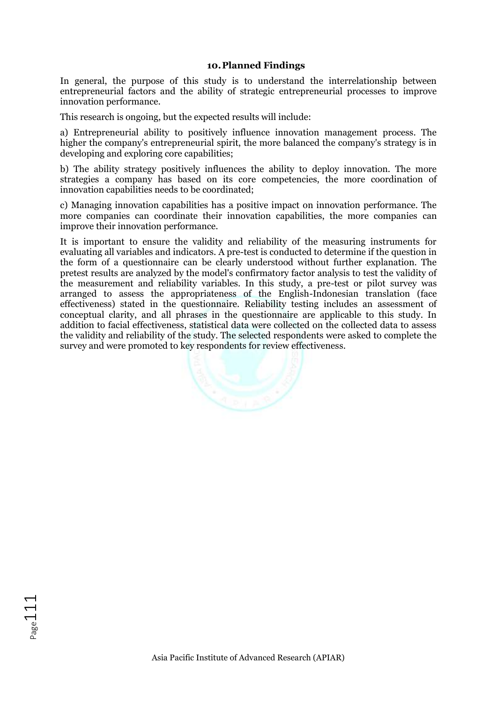#### **10.Planned Findings**

In general, the purpose of this study is to understand the interrelationship between entrepreneurial factors and the ability of strategic entrepreneurial processes to improve innovation performance.

This research is ongoing, but the expected results will include:

a) Entrepreneurial ability to positively influence innovation management process. The higher the company's entrepreneurial spirit, the more balanced the company's strategy is in developing and exploring core capabilities;

b) The ability strategy positively influences the ability to deploy innovation. The more strategies a company has based on its core competencies, the more coordination of innovation capabilities needs to be coordinated;

c) Managing innovation capabilities has a positive impact on innovation performance. The more companies can coordinate their innovation capabilities, the more companies can improve their innovation performance.

It is important to ensure the validity and reliability of the measuring instruments for evaluating all variables and indicators. A pre-test is conducted to determine if the question in the form of a questionnaire can be clearly understood without further explanation. The pretest results are analyzed by the model's confirmatory factor analysis to test the validity of the measurement and reliability variables. In this study, a pre-test or pilot survey was arranged to assess the appropriateness of the English-Indonesian translation (face effectiveness) stated in the questionnaire. Reliability testing includes an assessment of conceptual clarity, and all phrases in the questionnaire are applicable to this study. In addition to facial effectiveness, statistical data were collected on the collected data to assess the validity and reliability of the study. The selected respondents were asked to complete the survey and were promoted to key respondents for review effectiveness.

 $_{\rm Page}$ 11